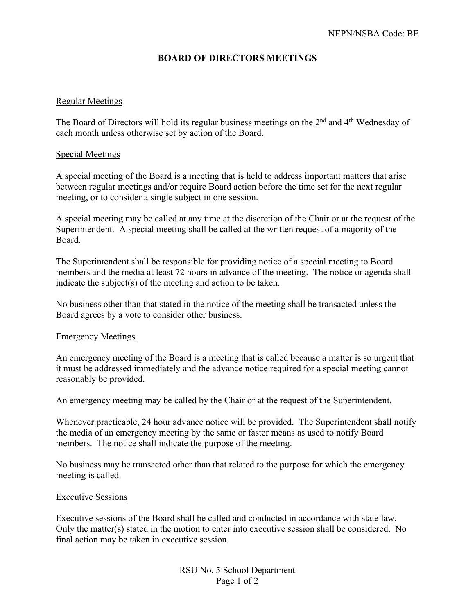# **BOARD OF DIRECTORS MEETINGS**

### Regular Meetings

The Board of Directors will hold its regular business meetings on the 2<sup>nd</sup> and 4<sup>th</sup> Wednesday of each month unless otherwise set by action of the Board.

### Special Meetings

A special meeting of the Board is a meeting that is held to address important matters that arise between regular meetings and/or require Board action before the time set for the next regular meeting, or to consider a single subject in one session.

A special meeting may be called at any time at the discretion of the Chair or at the request of the Superintendent. A special meeting shall be called at the written request of a majority of the Board.

The Superintendent shall be responsible for providing notice of a special meeting to Board members and the media at least 72 hours in advance of the meeting. The notice or agenda shall indicate the subject(s) of the meeting and action to be taken.

No business other than that stated in the notice of the meeting shall be transacted unless the Board agrees by a vote to consider other business.

### Emergency Meetings

An emergency meeting of the Board is a meeting that is called because a matter is so urgent that it must be addressed immediately and the advance notice required for a special meeting cannot reasonably be provided.

An emergency meeting may be called by the Chair or at the request of the Superintendent.

Whenever practicable, 24 hour advance notice will be provided. The Superintendent shall notify the media of an emergency meeting by the same or faster means as used to notify Board members. The notice shall indicate the purpose of the meeting.

No business may be transacted other than that related to the purpose for which the emergency meeting is called.

### Executive Sessions

Executive sessions of the Board shall be called and conducted in accordance with state law. Only the matter(s) stated in the motion to enter into executive session shall be considered. No final action may be taken in executive session.

> RSU No. 5 School Department Page 1 of 2